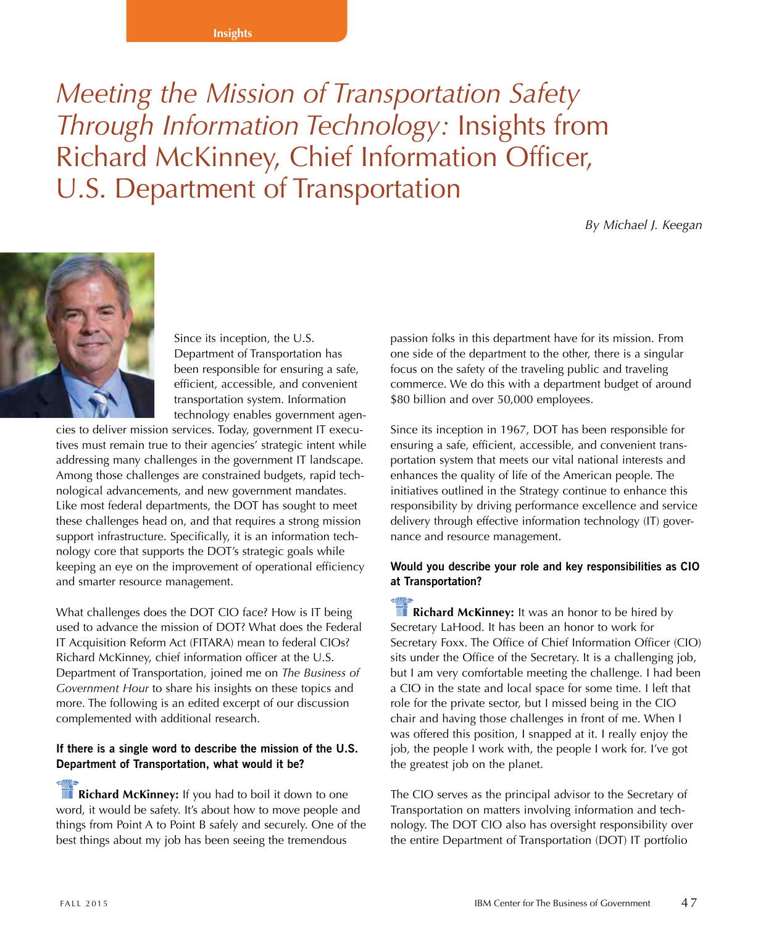#### **Insights**

# *Meeting the Mission of Transportation Safety Through Information Technology:* Insights from Richard McKinney, Chief Information Officer, U.S. Department of Transportation

*By Michael J. Keegan*



Since its inception, the U.S. Department of Transportation has been responsible for ensuring a safe, efficient, accessible, and convenient transportation system. Information technology enables government agen-

cies to deliver mission services. Today, government IT executives must remain true to their agencies' strategic intent while addressing many challenges in the government IT landscape. Among those challenges are constrained budgets, rapid technological advancements, and new government mandates. Like most federal departments, the DOT has sought to meet these challenges head on, and that requires a strong mission support infrastructure. Specifically, it is an information technology core that supports the DOT's strategic goals while keeping an eye on the improvement of operational efficiency and smarter resource management.

What challenges does the DOT CIO face? How is IT being used to advance the mission of DOT? What does the Federal IT Acquisition Reform Act (FITARA) mean to federal CIOs? Richard McKinney, chief information officer at the U.S. Department of Transportation, joined me on *The Business of Government Hour* to share his insights on these topics and more. The following is an edited excerpt of our discussion complemented with additional research.

#### **If there is a single word to describe the mission of the U.S. Department of Transportation, what would it be?**

**Richard McKinney:** If you had to boil it down to one word, it would be safety. It's about how to move people and things from Point A to Point B safely and securely. One of the best things about my job has been seeing the tremendous

passion folks in this department have for its mission. From one side of the department to the other, there is a singular focus on the safety of the traveling public and traveling commerce. We do this with a department budget of around \$80 billion and over 50,000 employees.

Since its inception in 1967, DOT has been responsible for ensuring a safe, efficient, accessible, and convenient transportation system that meets our vital national interests and enhances the quality of life of the American people. The initiatives outlined in the Strategy continue to enhance this responsibility by driving performance excellence and service delivery through effective information technology (IT) governance and resource management.

### **Would you describe your role and key responsibilities as CIO at Transportation?**

**Richard McKinney:** It was an honor to be hired by Secretary LaHood. It has been an honor to work for Secretary Foxx. The Office of Chief Information Officer (CIO) sits under the Office of the Secretary. It is a challenging job, but I am very comfortable meeting the challenge. I had been a CIO in the state and local space for some time. I left that role for the private sector, but I missed being in the CIO chair and having those challenges in front of me. When I was offered this position, I snapped at it. I really enjoy the job, the people I work with, the people I work for. I've got the greatest job on the planet.

The CIO serves as the principal advisor to the Secretary of Transportation on matters involving information and technology. The DOT CIO also has oversight responsibility over the entire Department of Transportation (DOT) IT portfolio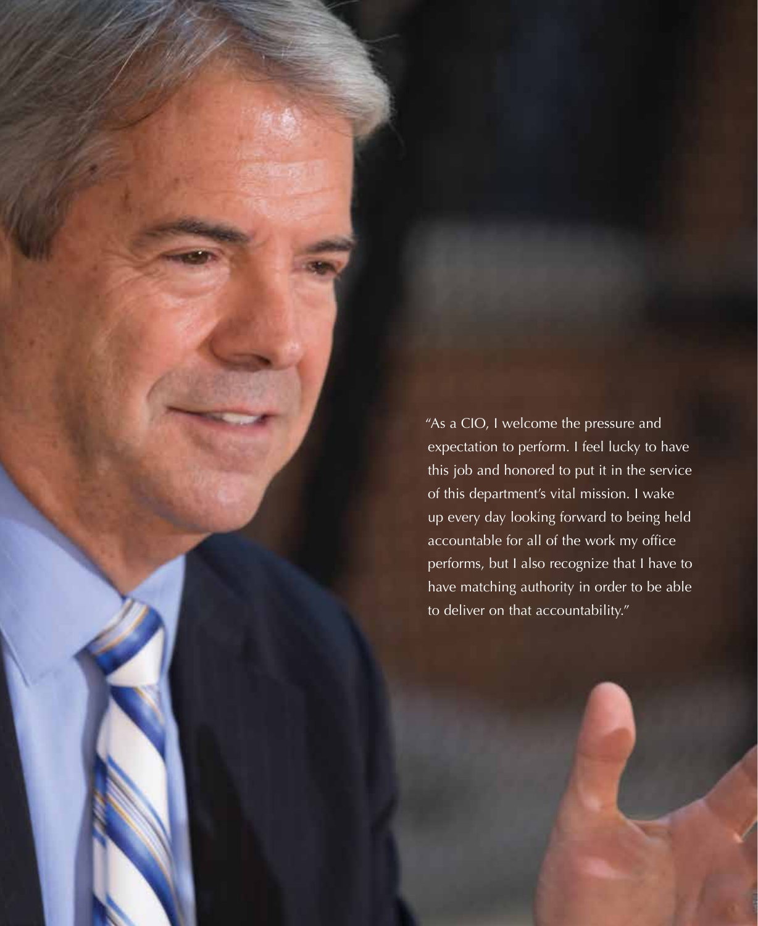"As a CIO, I welcome the pressure and expectation to perform. I feel lucky to have this job and honored to put it in the service of this department's vital mission. I wake up every day looking forward to being held accountable for all of the work my office performs, but I also recognize that I have to have matching authority in order to be able to deliver on that accountability."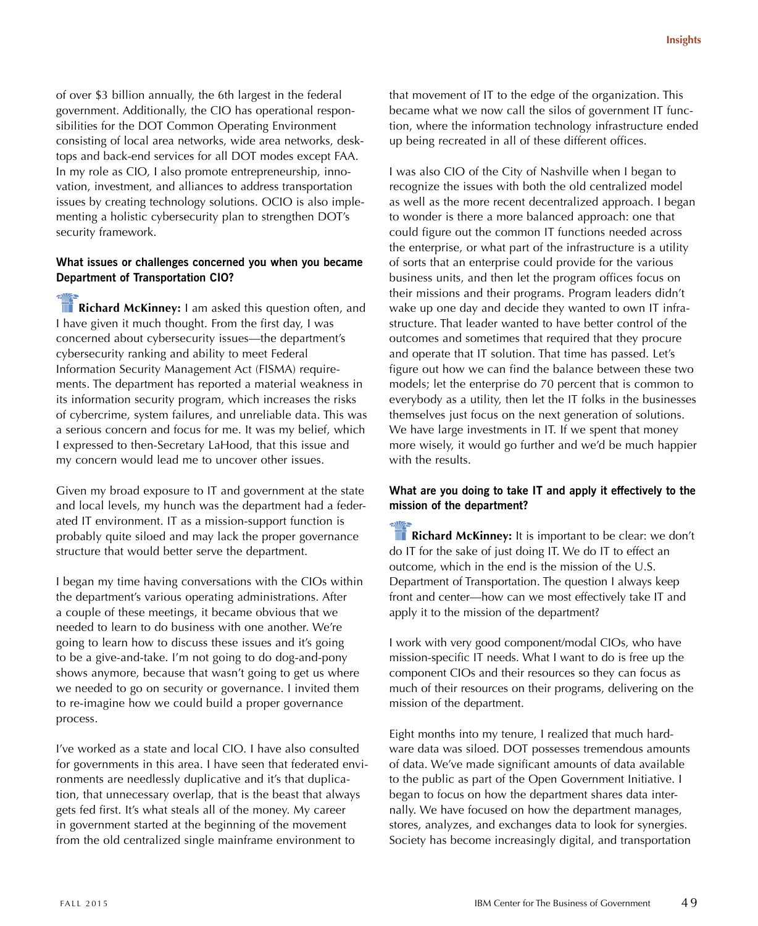of over \$3 billion annually, the 6th largest in the federal government. Additionally, the CIO has operational responsibilities for the DOT Common Operating Environment consisting of local area networks, wide area networks, desktops and back-end services for all DOT modes except FAA. In my role as CIO, I also promote entrepreneurship, innovation, investment, and alliances to address transportation issues by creating technology solutions. OCIO is also implementing a holistic cybersecurity plan to strengthen DOT's security framework.

#### **What issues or challenges concerned you when you became Department of Transportation CIO?**

**Richard McKinney:** I am asked this question often, and I have given it much thought. From the first day, I was concerned about cybersecurity issues—the department's cybersecurity ranking and ability to meet Federal Information Security Management Act (FISMA) requirements. The department has reported a material weakness in its information security program, which increases the risks of cybercrime, system failures, and unreliable data. This was a serious concern and focus for me. It was my belief, which I expressed to then-Secretary LaHood, that this issue and my concern would lead me to uncover other issues.

Given my broad exposure to IT and government at the state and local levels, my hunch was the department had a federated IT environment. IT as a mission-support function is probably quite siloed and may lack the proper governance structure that would better serve the department.

I began my time having conversations with the CIOs within the department's various operating administrations. After a couple of these meetings, it became obvious that we needed to learn to do business with one another. We're going to learn how to discuss these issues and it's going to be a give-and-take. I'm not going to do dog-and-pony shows anymore, because that wasn't going to get us where we needed to go on security or governance. I invited them to re-imagine how we could build a proper governance process.

I've worked as a state and local CIO. I have also consulted for governments in this area. I have seen that federated environments are needlessly duplicative and it's that duplication, that unnecessary overlap, that is the beast that always gets fed first. It's what steals all of the money. My career in government started at the beginning of the movement from the old centralized single mainframe environment to

that movement of IT to the edge of the organization. This became what we now call the silos of government IT function, where the information technology infrastructure ended up being recreated in all of these different offices.

I was also CIO of the City of Nashville when I began to recognize the issues with both the old centralized model as well as the more recent decentralized approach. I began to wonder is there a more balanced approach: one that could figure out the common IT functions needed across the enterprise, or what part of the infrastructure is a utility of sorts that an enterprise could provide for the various business units, and then let the program offices focus on their missions and their programs. Program leaders didn't wake up one day and decide they wanted to own IT infrastructure. That leader wanted to have better control of the outcomes and sometimes that required that they procure and operate that IT solution. That time has passed. Let's figure out how we can find the balance between these two models; let the enterprise do 70 percent that is common to everybody as a utility, then let the IT folks in the businesses themselves just focus on the next generation of solutions. We have large investments in IT. If we spent that money more wisely, it would go further and we'd be much happier with the results.

#### **What are you doing to take IT and apply it effectively to the mission of the department?**

**Richard McKinney:** It is important to be clear: we don't do IT for the sake of just doing IT. We do IT to effect an outcome, which in the end is the mission of the U.S. Department of Transportation. The question I always keep front and center—how can we most effectively take IT and apply it to the mission of the department?

I work with very good component/modal CIOs, who have mission-specific IT needs. What I want to do is free up the component CIOs and their resources so they can focus as much of their resources on their programs, delivering on the mission of the department.

Eight months into my tenure, I realized that much hardware data was siloed. DOT possesses tremendous amounts of data. We've made significant amounts of data available to the public as part of the Open Government Initiative. I began to focus on how the department shares data internally. We have focused on how the department manages, stores, analyzes, and exchanges data to look for synergies. Society has become increasingly digital, and transportation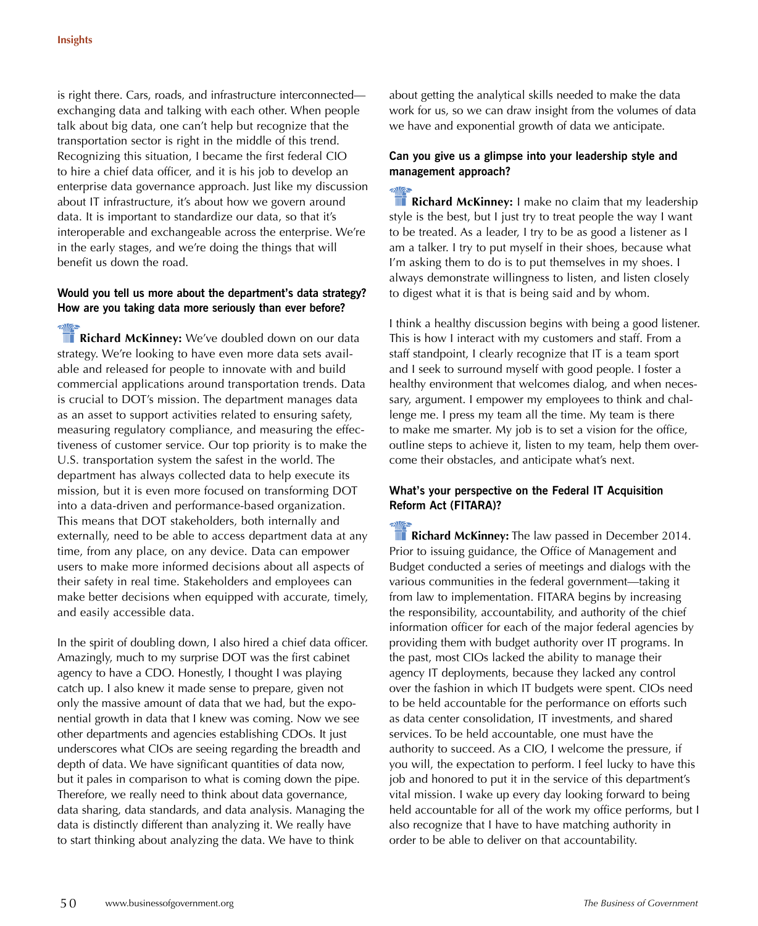is right there. Cars, roads, and infrastructure interconnected exchanging data and talking with each other. When people talk about big data, one can't help but recognize that the transportation sector is right in the middle of this trend. Recognizing this situation, I became the first federal CIO to hire a chief data officer, and it is his job to develop an enterprise data governance approach. Just like my discussion about IT infrastructure, it's about how we govern around data. It is important to standardize our data, so that it's interoperable and exchangeable across the enterprise. We're in the early stages, and we're doing the things that will benefit us down the road.

#### **Would you tell us more about the department's data strategy? How are you taking data more seriously than ever before?**

**Richard McKinney:** We've doubled down on our data strategy. We're looking to have even more data sets available and released for people to innovate with and build commercial applications around transportation trends. Data is crucial to DOT's mission. The department manages data as an asset to support activities related to ensuring safety, measuring regulatory compliance, and measuring the effectiveness of customer service. Our top priority is to make the U.S. transportation system the safest in the world. The department has always collected data to help execute its mission, but it is even more focused on transforming DOT into a data-driven and performance-based organization. This means that DOT stakeholders, both internally and externally, need to be able to access department data at any time, from any place, on any device. Data can empower users to make more informed decisions about all aspects of their safety in real time. Stakeholders and employees can make better decisions when equipped with accurate, timely, and easily accessible data.

In the spirit of doubling down, I also hired a chief data officer. Amazingly, much to my surprise DOT was the first cabinet agency to have a CDO. Honestly, I thought I was playing catch up. I also knew it made sense to prepare, given not only the massive amount of data that we had, but the exponential growth in data that I knew was coming. Now we see other departments and agencies establishing CDOs. It just underscores what CIOs are seeing regarding the breadth and depth of data. We have significant quantities of data now, but it pales in comparison to what is coming down the pipe. Therefore, we really need to think about data governance, data sharing, data standards, and data analysis. Managing the data is distinctly different than analyzing it. We really have to start thinking about analyzing the data. We have to think

about getting the analytical skills needed to make the data work for us, so we can draw insight from the volumes of data we have and exponential growth of data we anticipate.

## **Can you give us a glimpse into your leadership style and management approach?**

**Richard McKinney:** I make no claim that my leadership style is the best, but I just try to treat people the way I want to be treated. As a leader, I try to be as good a listener as I am a talker. I try to put myself in their shoes, because what I'm asking them to do is to put themselves in my shoes. I always demonstrate willingness to listen, and listen closely to digest what it is that is being said and by whom.

I think a healthy discussion begins with being a good listener. This is how I interact with my customers and staff. From a staff standpoint, I clearly recognize that IT is a team sport and I seek to surround myself with good people. I foster a healthy environment that welcomes dialog, and when necessary, argument. I empower my employees to think and challenge me. I press my team all the time. My team is there to make me smarter. My job is to set a vision for the office, outline steps to achieve it, listen to my team, help them overcome their obstacles, and anticipate what's next.

# **What's your perspective on the Federal IT Acquisition Reform Act (FITARA)?**

**The Richard McKinney:** The law passed in December 2014. Prior to issuing guidance, the Office of Management and Budget conducted a series of meetings and dialogs with the various communities in the federal government—taking it from law to implementation. FITARA begins by increasing the responsibility, accountability, and authority of the chief information officer for each of the major federal agencies by providing them with budget authority over IT programs. In the past, most CIOs lacked the ability to manage their agency IT deployments, because they lacked any control over the fashion in which IT budgets were spent. CIOs need to be held accountable for the performance on efforts such as data center consolidation, IT investments, and shared services. To be held accountable, one must have the authority to succeed. As a CIO, I welcome the pressure, if you will, the expectation to perform. I feel lucky to have this job and honored to put it in the service of this department's vital mission. I wake up every day looking forward to being held accountable for all of the work my office performs, but I also recognize that I have to have matching authority in order to be able to deliver on that accountability.